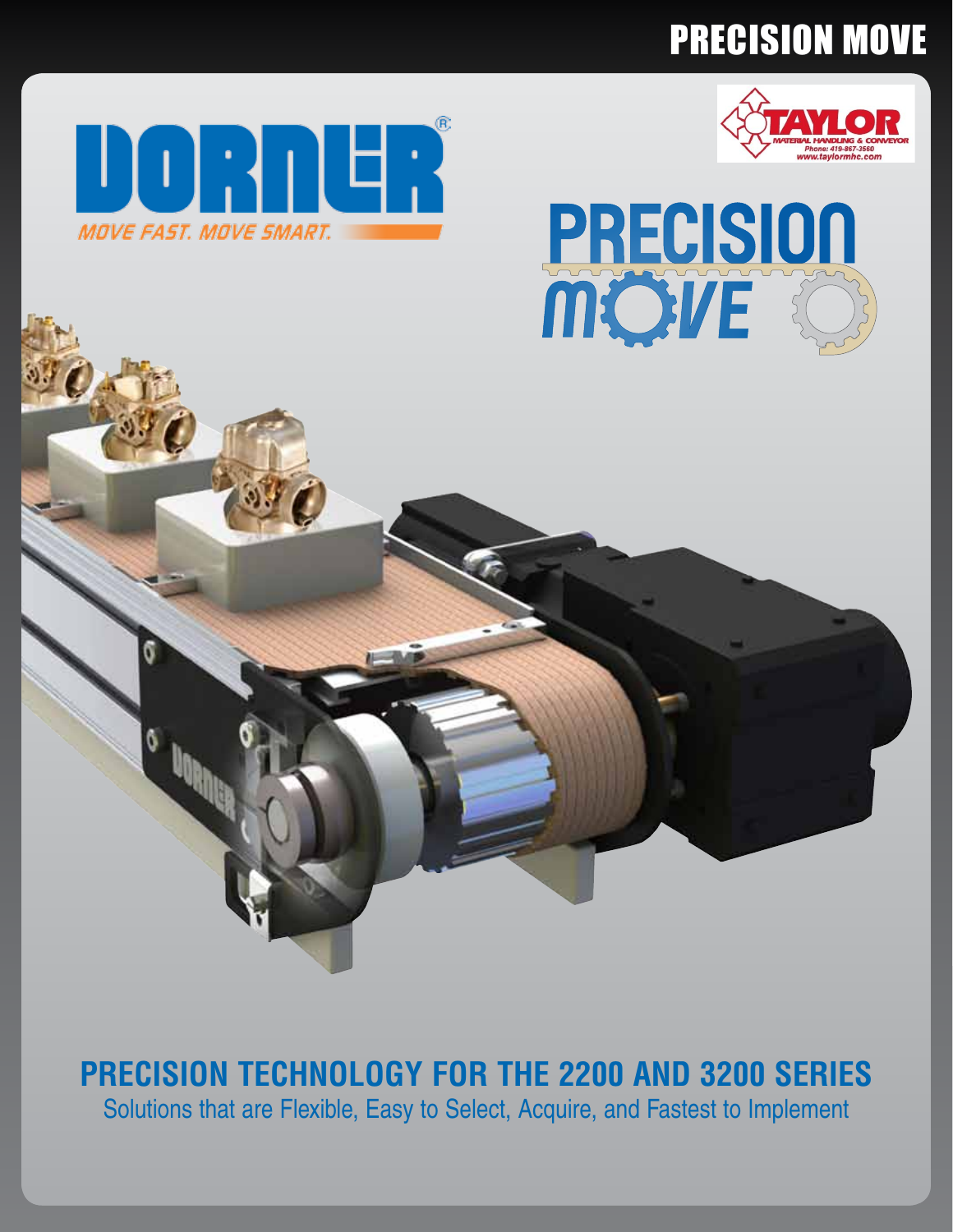# PRECISION MOVE







## **Precision Technology for the 2200 and 3200 Series**

Solutions that are Flexible, Easy to Select, Acquire, and Fastest to Implement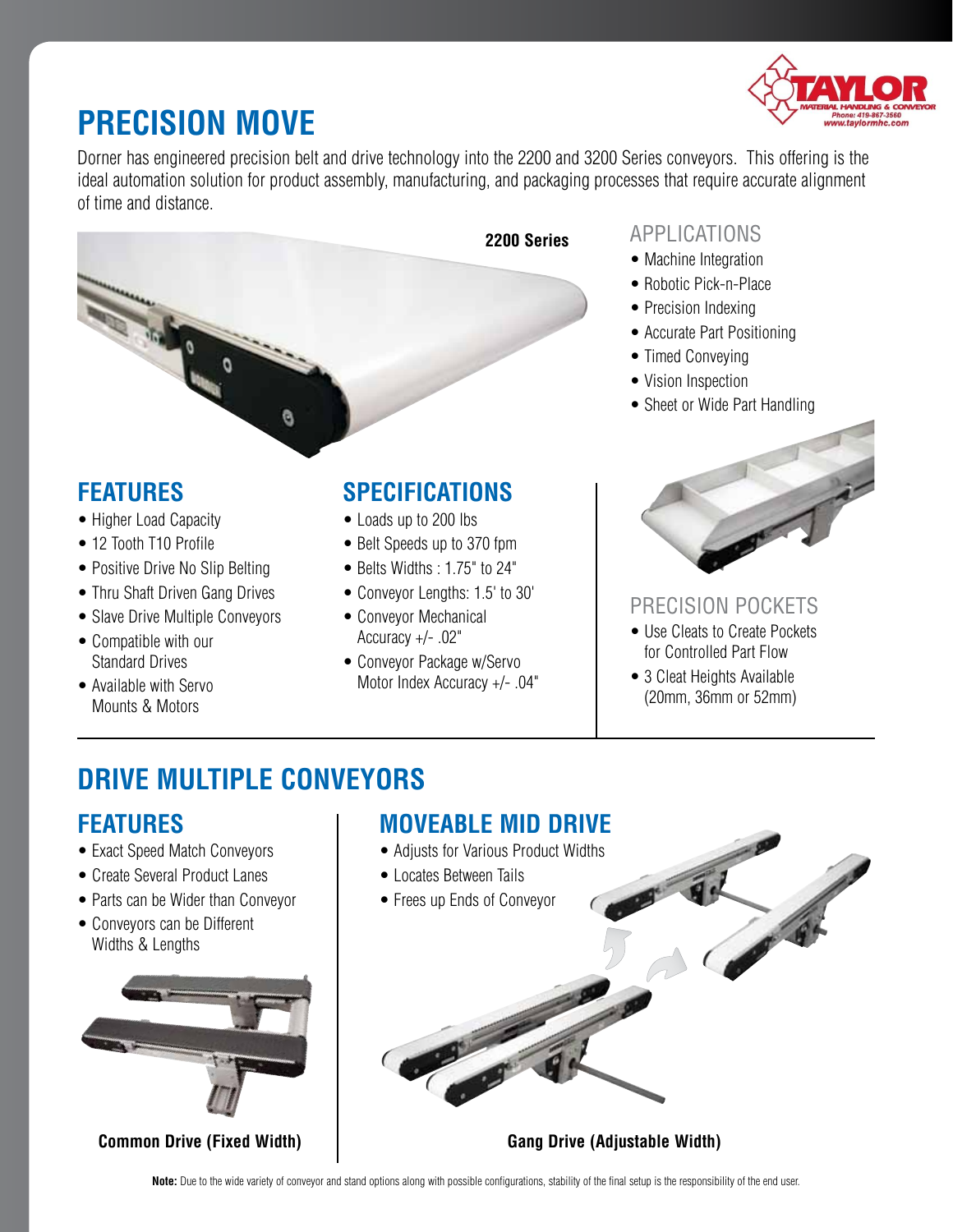

## **Precision Move**

Dorner has engineered precision belt and drive technology into the 2200 and 3200 Series conveyors. This offering is the ideal automation solution for product assembly, manufacturing, and packaging processes that require accurate alignment of time and distance.



### **Features**

- Higher Load Capacity
- 12 Tooth T10 Profile
- Positive Drive No Slip Belting
- Thru Shaft Driven Gang Drives
- Slave Drive Multiple Conveyors
- Compatible with our Standard Drives
- Available with Servo Mounts & Motors

## **Specifications**

- Loads up to 200 lbs
- Belt Speeds up to 370 fpm
- Belts Widths : 1.75" to 24"
- Conveyor Lengths: 1.5' to 30'
- Conveyor Mechanical Accuracy +/- .02"
- Conveyor Package w/Servo Motor Index Accuracy +/- .04"

#### Applications

- Machine Integration
- Robotic Pick-n-Place
- Precision Indexing
- Accurate Part Positioning
- Timed Conveying
- Vision Inspection
- Sheet or Wide Part Handling



### Precision Pockets

- Use Cleats to Create Pockets for Controlled Part Flow
- 3 Cleat Heights Available (20mm, 36mm or 52mm)

## **Drive Multiple Conveyors**

### **Features**

- Exact Speed Match Conveyors
- Create Several Product Lanes
- Parts can be Wider than Conveyor
- Conveyors can be Different Widths & Lengths



**Common Drive (Fixed Width)**

### **Moveable Mid Drive**

- Adjusts for Various Product Widths
- Locates Between Tails
- Frees up Ends of Conveyor

**Gang Drive (Adjustable Width)**

**Note:** Due to the wide variety of conveyor and stand options along with possible configurations, stability of the final setup is the responsibility of the end user.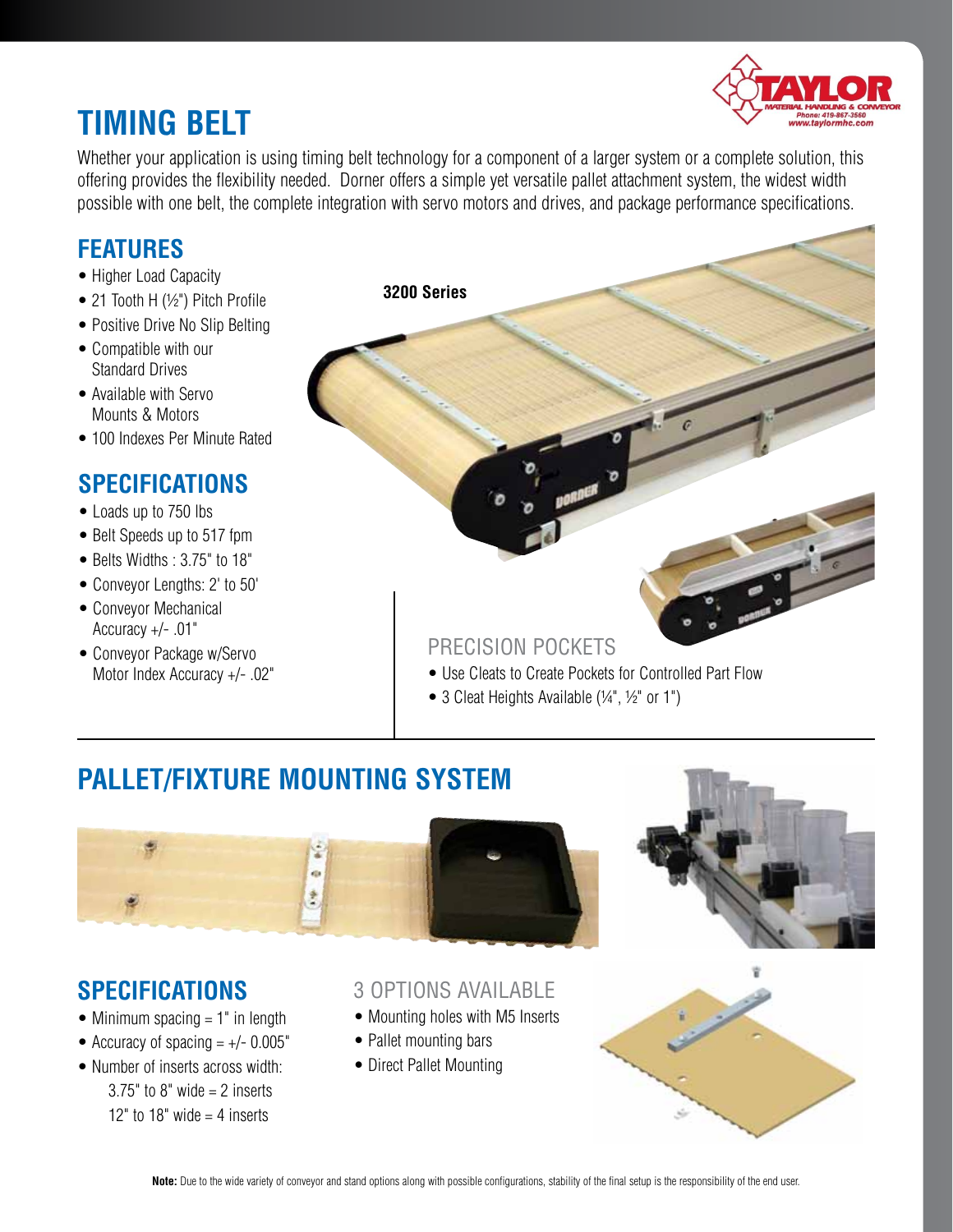## **Timing Belt**



Whether your application is using timing belt technology for a component of a larger system or a complete solution, this offering provides the flexibility needed. Dorner offers a simple yet versatile pallet attachment system, the widest width possible with one belt, the complete integration with servo motors and drives, and package performance specifications.

## **Features**

- Higher Load Capacity
- 21 Tooth H (1/2") Pitch Profile
- Positive Drive No Slip Belting
- Compatible with our Standard Drives
- Available with Servo Mounts & Motors
- 100 Indexes Per Minute Rated

## **Specifications**

- Loads up to 750 lbs
- Belt Speeds up to 517 fpm
- Belts Widths : 3.75" to 18"
- Conveyor Lengths: 2' to 50'
- Conveyor Mechanical Accuracy +/- .01"
- Conveyor Package w/Servo Motor Index Accuracy +/- .02"

**3200 Series**

#### Precision Pockets

- Use Cleats to Create Pockets for Controlled Part Flow
- 3 Cleat Heights Available (1/4", 1/2" or 1")

## **Pallet/Fixture Mounting System**





### **Specifications**

- Minimum spacing  $= 1$ " in length
- Accuracy of spacing  $= +/- 0.005$ "
- Number of inserts across width:  $3.75"$  to  $8"$  wide = 2 inserts 12" to 18" wide  $=$  4 inserts

#### 3 Options Available

- Mounting holes with M5 Inserts
- Pallet mounting bars
- Direct Pallet Mounting